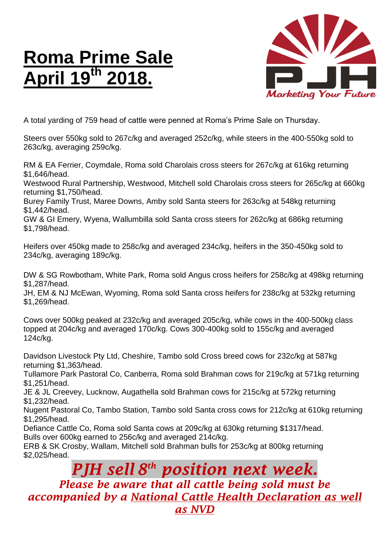## **Roma Prime Sale April 19th 2018.**



A total yarding of 759 head of cattle were penned at Roma's Prime Sale on Thursday.

Steers over 550kg sold to 267c/kg and averaged 252c/kg, while steers in the 400-550kg sold to 263c/kg, averaging 259c/kg.

RM & EA Ferrier, Coymdale, Roma sold Charolais cross steers for 267c/kg at 616kg returning \$1,646/head.

Westwood Rural Partnership, Westwood, Mitchell sold Charolais cross steers for 265c/kg at 660kg returning \$1,750/head.

Burey Family Trust, Maree Downs, Amby sold Santa steers for 263c/kg at 548kg returning \$1,442/head.

GW & GI Emery, Wyena, Wallumbilla sold Santa cross steers for 262c/kg at 686kg returning \$1,798/head.

Heifers over 450kg made to 258c/kg and averaged 234c/kg, heifers in the 350-450kg sold to 234c/kg, averaging 189c/kg.

DW & SG Rowbotham, White Park, Roma sold Angus cross heifers for 258c/kg at 498kg returning \$1,287/head.

JH, EM & NJ McEwan, Wyoming, Roma sold Santa cross heifers for 238c/kg at 532kg returning \$1,269/head.

Cows over 500kg peaked at 232c/kg and averaged 205c/kg, while cows in the 400-500kg class topped at 204c/kg and averaged 170c/kg. Cows 300-400kg sold to 155c/kg and averaged 124c/kg.

Davidson Livestock Pty Ltd, Cheshire, Tambo sold Cross breed cows for 232c/kg at 587kg returning \$1,363/head.

Tullamore Park Pastoral Co, Canberra, Roma sold Brahman cows for 219c/kg at 571kg returning \$1,251/head.

JE & JL Creevey, Lucknow, Augathella sold Brahman cows for 215c/kg at 572kg returning \$1,232/head.

Nugent Pastoral Co, Tambo Station, Tambo sold Santa cross cows for 212c/kg at 610kg returning \$1,295/head.

Defiance Cattle Co, Roma sold Santa cows at 209c/kg at 630kg returning \$1317/head. Bulls over 600kg earned to 256c/kg and averaged 214c/kg.

ERB & SK Crosby, Wallam, Mitchell sold Brahman bulls for 253c/kg at 800kg returning \$2,025/head.

## *PJH sell 8 th position next week. Please be aware that all cattle being sold must be accompanied by a National Cattle Health Declaration as well as NVD*